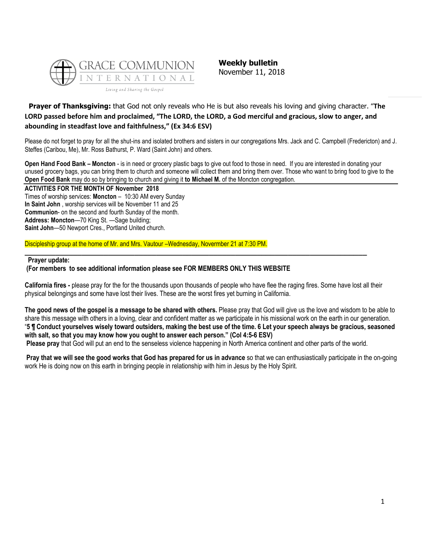

**Weekly bulletin** November 11, 2018

# **Prayer of Thanksgiving:** that God not only reveals who He is but also reveals his loving and giving character. "**The LORD passed before him and proclaimed, "The LORD, the LORD, a God merciful and gracious, slow to anger, and abounding in steadfast love and faithfulness," (Ex 34:6 ESV)**

Please do not forget to pray for all the shut-ins and isolated brothers and sisters in our congregations Mrs. Jack and C. Campbell (Fredericton) and J. Steffes (Caribou, Me), Mr. Ross Bathurst, P. Ward (Saint John) and others.

**Open Hand Food Bank – Moncton** - is in need or grocery plastic bags to give out food to those in need. If you are interested in donating your unused grocery bags, you can bring them to church and someone will collect them and bring them over. Those who want to bring food to give to the **Open Food Bank** may do so by bringing to church and giving it **to Michael M.** of the Moncton congregation.

**ACTIVITIES FOR THE MONTH OF November 2018** Times of worship services: **Moncton** – 10:30 AM every Sunday **In Saint John** , worship services will be November 11 and 25 **Communion**- on the second and fourth Sunday of the month. **Address: Moncton**—70 King St. —Sage building; **Saint John**—50 Newport Cres., Portland United church.

## Discipleship group at the home of Mr. and Mrs. Vautour –Wednesday, Novermber 21 at 7:30 PM.

#### **Prayer update:**

## **(For members to see additional information please see FOR MEMBERS ONLY THIS WEBSITE**

**California fires -** please pray for the for the thousands upon thousands of people who have flee the raging fires. Some have lost all their physical belongings and some have lost their lives. These are the worst fires yet burning in California.

**\_\_\_\_\_\_\_\_\_\_\_\_\_\_\_\_\_\_\_\_\_\_\_\_\_\_\_\_\_\_\_\_\_\_\_\_\_\_\_\_\_\_\_\_\_\_\_\_\_\_\_\_\_\_\_\_\_\_\_\_\_\_\_\_\_\_\_\_\_\_\_\_\_\_\_\_\_\_**

**The good news of the gospel is a message to be shared with others.** Please pray that God will give us the love and wisdom to be able to share this message with others in a loving, clear and confident matter as we participate in his missional work on the earth in our generation. "**5 ¶ Conduct yourselves wisely toward outsiders, making the best use of the time. 6 Let your speech always be gracious, seasoned with salt, so that you may know how you ought to answer each person." (Col 4:5-6 ESV) Please pray** that God will put an end to the senseless violence happening in North America continent and other parts of the world.

**Pray that we will see the good works that God has prepared for us in advance** so that we can enthusiastically participate in the on-going work He is doing now on this earth in bringing people in relationship with him in Jesus by the Holy Spirit.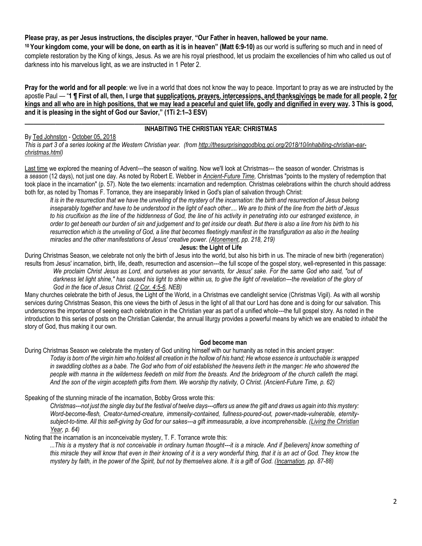# **Please pray, as per Jesus instructions, the disciples prayer**, **"Our Father in heaven, hallowed be your name.**

**<sup>10</sup> Your kingdom come, your will be done, on earth as it is in heaven" (Matt 6:9-10)** as our world is suffering so much and in need of complete restoration by the King of kings, Jesus. As we are his royal priesthood, let us proclaim the excellencies of him who called us out of darkness into his marvelous light, as we are instructed in 1 Peter 2.

**Pray for the world and for all people**: we live in a world that does not know the way to peace. Important to pray as we are instructed by the apostle Paul — "**1 ¶ First of all, then, I urge that supplications, prayers, intercessions, and thanksgivings be made for all people, 2 for kings and all who are in high positions, that we may lead a peaceful and quiet life, godly and dignified in every way. 3 This is good, and it is pleasing in the sight of God our Savior," (1Ti 2:1–3 ESV)**

#### **\_\_\_\_\_\_\_\_\_\_\_\_\_\_\_\_\_\_\_\_\_\_\_\_\_\_\_\_\_\_\_\_\_\_\_\_\_\_\_\_\_\_\_\_\_\_\_\_\_\_\_\_\_\_\_\_\_\_\_\_\_\_\_\_\_\_\_\_\_\_\_\_\_\_\_\_\_\_\_\_\_\_ INHABITING THE CHRISTIAN YEAR: CHRISTMAS**

## By [Ted Johnston](https://www.blogger.com/profile/08677739021765621811) - [October 05, 2018](http://thesurprisinggodblog.gci.org/2018/10/inhabiting-christian-ear-christmas.html)

*This is part 3 of a series looking at the Western Christian year. (from [http://thesurprisinggodblog.gci.org/2018/10/inhabiting-christian-ear](http://thesurprisinggodblog.gci.org/2018/10/inhabiting-christian-ear-christmas.html)[christmas.html\)](http://thesurprisinggodblog.gci.org/2018/10/inhabiting-christian-ear-christmas.html)* 

[Last time](http://thesurprisinggodblog.gci.org/2018/09/inhabiting-christian-worship-year-advent.html) we explored the meaning of Advent---the season of waiting. Now we'll look at Christmas--- the season of wonder. Christmas is a *season* (12 days), not just one day. As noted by Robert E. Webber in *[Ancient-Future Time,](https://books.google.com/books?id=-YmvoBatBZwC&printsec=frontcover#v=onepage&q&f=false)* Christmas "points to the mystery of redemption that took place in the incarnation" (p. 57). Note the two elements: incarnation and redemption. Christmas celebrations within the church should address both for, as noted by Thomas F. Torrance, they are inseparably linked in God's plan of salvation through Christ:

*It is in the resurrection that we have the unveiling of the mystery of the incarnation: the birth and resurrection of Jesus belong inseparably together and have to be understood in the light of each other.... We are to think of the line from the birth of Jesus to his crucifixion as the line of the hiddenness of God, the line of his activity in penetrating into our estranged existence, in order to get beneath our burden of sin and judgement and to get inside our death. But there is also a line from his birth to his resurrection which is the unveiling of God, a line that becomes fleetingly manifest in the transfiguration as also in the healing miracles and the other manifestations of Jesus' creative power. [\(Atonement,](https://books.google.com/books?id=uwCi0odqvbEC&printsec=frontcover#v=onepage&q&f=false) pp. 218, 219)*

#### **Jesus: the Light of Life**

During Christmas Season, we celebrate not only the birth of Jesus into the world, but also his birth in us. The miracle of new birth (regeneration) results from Jesus' incarnation, birth, life, death, resurrection and ascension---the full scope of the gospel story, well-represented in this passage: *We proclaim Christ Jesus as Lord, and ourselves as your servants, for Jesus' sake. For the same God who said, "out of*  darkness let light shine," has caused his light to shine within us, to give the light of revelation---the revelation of the glory of *God in the face of Jesus Christ. [\(2 Cor. 4:5-6,](https://biblia.com/bible/niv/2%20Cor.%204.5-6) NEB)*

Many churches celebrate the birth of Jesus, the Light of the World, in a Christmas eve candlelight service (Christmas Vigil). As with all worship services during Christmas Season, this one views the birth of Jesus in the light of all that our Lord has done and is doing for our salvation. This underscores the importance of seeing each celebration in the Christian year as part of a unified whole---the full gospel story. As noted in the introduction to this series of posts on the Christian Calendar, the annual liturgy provides a powerful means by which we are enabled to *inhabit* the story of God, thus making it our own.

#### **God become man**

During Christmas Season we celebrate the mystery of God uniting himself with our humanity as noted in this ancient prayer:

*Today is born of the virgin him who holdest all creation in the hollow of his hand; He whose essence is untouchable is wrapped*  in swaddling clothes as a babe. The God who from of old established the heavens lieth in the manger: He who showered the *people with manna in the wilderness feedeth on mild from the breasts. And the bridegroom of the church calleth the magi. And the son of the virgin accepteth gifts from them. We worship thy nativity, O Christ. (Ancient-Future Time, p. 62)*

Speaking of the stunning miracle of the incarnation, Bobby Gross wrote this:

*Christmas---not just the single day but the festival of twelve days---offers us anew the gift and draws us again into this mystery: Word-become-flesh, Creator-turned-creature, immensity-contained, fullness-poured-out, power-made-vulnerable, eternitysubject-to-time. All this self-giving by God for our sakes---a gift immeasurable, a love incomprehensible. [\(Living the Christian](https://books.google.com/books?id=v5GhzIQmKYEC&printsec=frontcover#v=onepage&q&f=false)  [Year,](https://books.google.com/books?id=v5GhzIQmKYEC&printsec=frontcover#v=onepage&q&f=false) p. 64)*

Noting that the incarnation is an inconceivable mystery, T. F. Torrance wrote this:

*...This is a mystery that is not conceivable in ordinary human thought---it is a miracle. And if [believers] know something of this miracle they will know that even in their knowing of it is a very wonderful thing, that it is an act of God. They know the mystery by faith, in the power of the Spirit, but not by themselves alone. It is a gift of God. [\(Incarnation,](https://books.google.com/books?id=XtPcBAAAQBAJ&printsec=frontcover#v=onepage&q&f=false) pp. 87-88)*